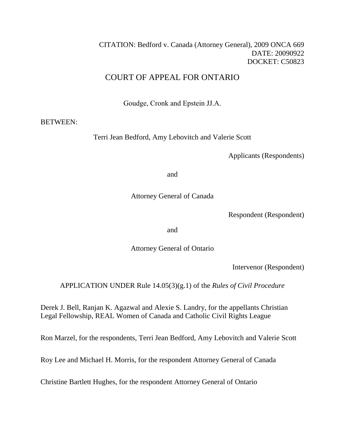# CITATION: Bedford v. Canada (Attorney General), 2009 ONCA 669 DATE: 20090922 DOCKET: C50823

# COURT OF APPEAL FOR ONTARIO

Goudge, Cronk and Epstein JJ.A.

# BETWEEN:

Terri Jean Bedford, Amy Lebovitch and Valerie Scott

Applicants (Respondents)

and

Attorney General of Canada

Respondent (Respondent)

and

Attorney General of Ontario

Intervenor (Respondent)

APPLICATION UNDER Rule 14.05(3)(g.1) of the *Rules of Civil Procedure*

Derek J. Bell, Ranjan K. Agazwal and Alexie S. Landry, for the appellants Christian Legal Fellowship, REAL Women of Canada and Catholic Civil Rights League

Ron Marzel, for the respondents, Terri Jean Bedford, Amy Lebovitch and Valerie Scott

Roy Lee and Michael H. Morris, for the respondent Attorney General of Canada

Christine Bartlett Hughes, for the respondent Attorney General of Ontario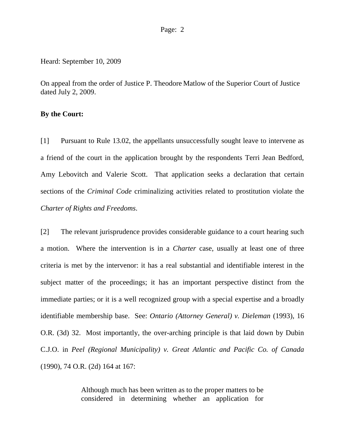#### Page: 2

Heard: September 10, 2009

On appeal from the order of Justice P. Theodore Matlow of the Superior Court of Justice dated July 2, 2009.

## **By the Court:**

[1] Pursuant to Rule 13.02, the appellants unsuccessfully sought leave to intervene as a friend of the court in the application brought by the respondents Terri Jean Bedford, Amy Lebovitch and Valerie Scott. That application seeks a declaration that certain sections of the *Criminal Code* criminalizing activities related to prostitution violate the *Charter of Rights and Freedoms*.

[2] The relevant jurisprudence provides considerable guidance to a court hearing such a motion. Where the intervention is in a *Charter* case, usually at least one of three criteria is met by the intervenor: it has a real substantial and identifiable interest in the subject matter of the proceedings; it has an important perspective distinct from the immediate parties; or it is a well recognized group with a special expertise and a broadly identifiable membership base. See: *Ontario (Attorney General) v. Dieleman* (1993), 16 O.R. (3d) 32. Most importantly, the over-arching principle is that laid down by Dubin C.J.O. in *Peel (Regional Municipality) v. Great Atlantic and Pacific Co. of Canada*  (1990), 74 O.R. (2d) 164 at 167:

> Although much has been written as to the proper matters to be considered in determining whether an application for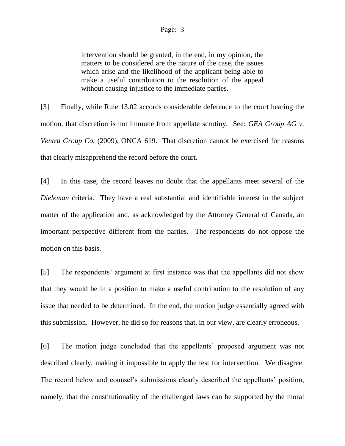### Page: 3

intervention should be granted, in the end, in my opinion, the matters to be considered are the nature of the case, the issues which arise and the likelihood of the applicant being able to make a useful contribution to the resolution of the appeal without causing injustice to the immediate parties.

[3] Finally, while Rule 13.02 accords considerable deference to the court hearing the motion, that discretion is not immune from appellate scrutiny. See: *GEA Group AG v. Ventra Group Co.* (2009), ONCA 619. That discretion cannot be exercised for reasons that clearly misapprehend the record before the court.

[4] In this case, the record leaves no doubt that the appellants meet several of the *Dieleman* criteria. They have a real substantial and identifiable interest in the subject matter of the application and, as acknowledged by the Attorney General of Canada, an important perspective different from the parties. The respondents do not oppose the motion on this basis.

[5] The respondents' argument at first instance was that the appellants did not show that they would be in a position to make a useful contribution to the resolution of any issue that needed to be determined. In the end, the motion judge essentially agreed with this submission. However, he did so for reasons that, in our view, are clearly erroneous.

[6] The motion judge concluded that the appellants' proposed argument was not described clearly, making it impossible to apply the test for intervention. We disagree. The record below and counsel's submissions clearly described the appellants' position, namely, that the constitutionality of the challenged laws can be supported by the moral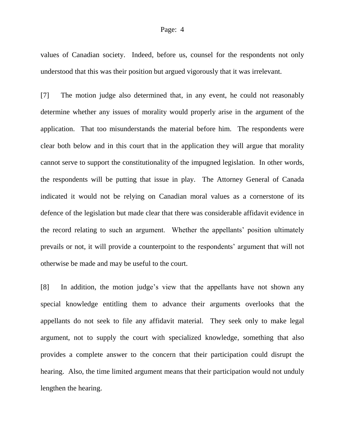## Page: 4

values of Canadian society. Indeed, before us, counsel for the respondents not only understood that this was their position but argued vigorously that it was irrelevant.

[7] The motion judge also determined that, in any event, he could not reasonably determine whether any issues of morality would properly arise in the argument of the application. That too misunderstands the material before him. The respondents were clear both below and in this court that in the application they will argue that morality cannot serve to support the constitutionality of the impugned legislation. In other words, the respondents will be putting that issue in play. The Attorney General of Canada indicated it would not be relying on Canadian moral values as a cornerstone of its defence of the legislation but made clear that there was considerable affidavit evidence in the record relating to such an argument. Whether the appellants' position ultimately prevails or not, it will provide a counterpoint to the respondents' argument that will not otherwise be made and may be useful to the court.

[8] In addition, the motion judge's view that the appellants have not shown any special knowledge entitling them to advance their arguments overlooks that the appellants do not seek to file any affidavit material. They seek only to make legal argument, not to supply the court with specialized knowledge, something that also provides a complete answer to the concern that their participation could disrupt the hearing. Also, the time limited argument means that their participation would not unduly lengthen the hearing.